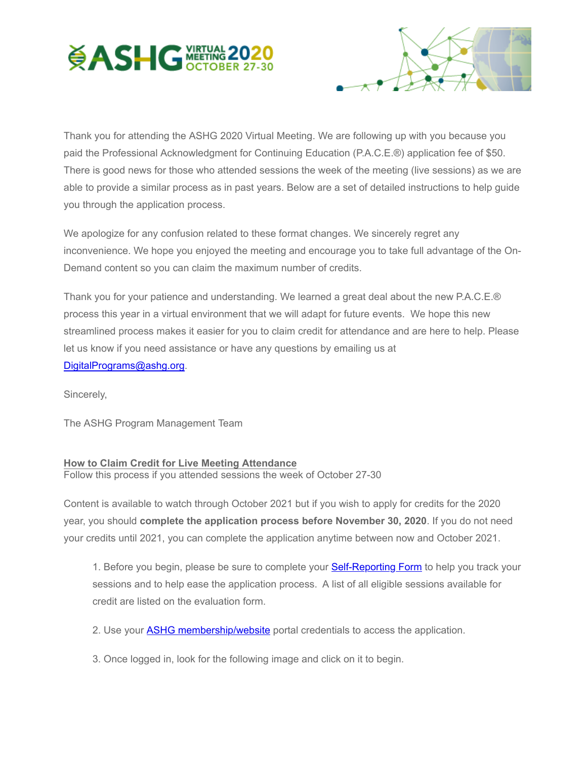



Thank you for attending the ASHG 2020 Virtual Meeting. We are following up with you because you paid the Professional Acknowledgment for Continuing Education (P.A.C.E.®) application fee of \$50. There is good news for those who attended sessions the week of the meeting (live sessions) as we are able to provide a similar process as in past years. Below are a set of detailed instructions to help guide you through the application process.

We apologize for any confusion related to these format changes. We sincerely regret any inconvenience. We hope you enjoyed the meeting and encourage you to take full advantage of the On-Demand content so you can claim the maximum number of credits.

Thank you for your patience and understanding. We learned a great deal about the new P.A.C.E.® process this year in a virtual environment that we will adapt for future events. We hope this new streamlined process makes it easier for you to claim credit for attendance and are here to help. Please let us know if you need assistance or have any questions by emailing us at [DigitalPrograms@ashg.org.](mailto:DigitalPrograms@ashg.org)

Sincerely,

The ASHG Program Management Team

## **How to Claim Credit for Live Meeting Attendance**

Follow this process if you attended sessions the week of October 27-30

Content is available to watch through October 2021 but if you wish to apply for credits for the 2020 year, you should **complete the application process before November 30, 2020**. If you do not need your credits until 2021, you can complete the application anytime between now and October 2021.

1. Before you begin, please be sure to complete your **[Self-Reporting Form](http://send.ashg.org/link.cfm?r=vkdzPpR29L-IBAEhm585eg~~&pe=2Sw6lWA10VTT9XjgNNjIs14QvBjoCtsEUH-MJi5aw1Xm8A-7vNu6iZg7cBlOLWXn9h-UwYt9HYAi1yt_H93QxA~~&t=INSERT_TRACKING_ENCID)** to help you track your sessions and to help ease the application process. A list of all eligible sessions available for credit are listed on the evaluation form.

- 2. Use your **ASHG membership/website** portal credentials to access the application.
- 3. Once logged in, look for the following image and click on it to begin.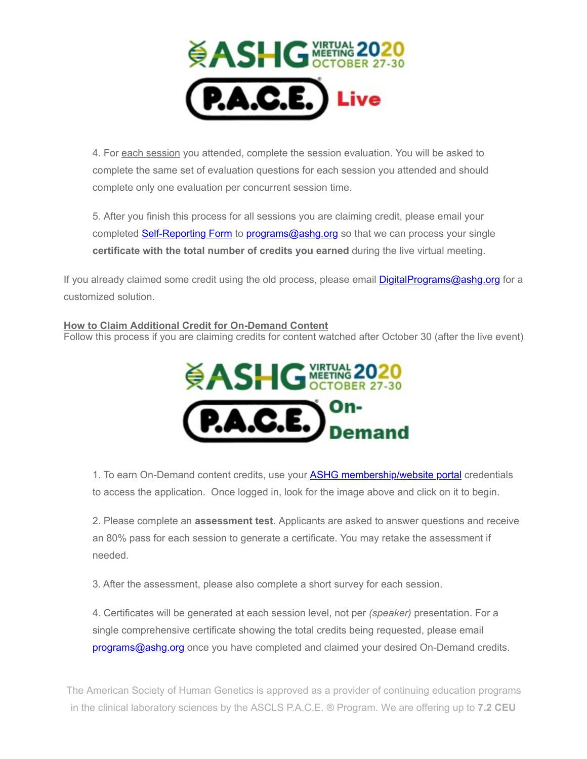

4. For each session you attended, complete the session evaluation. You will be asked to complete the same set of evaluation questions for each session you attended and should complete only one evaluation per concurrent session time.

5. After you finish this process for all sessions you are claiming credit, please email your completed [Self-Reporting Form](http://send.ashg.org/link.cfm?r=vkdzPpR29L-IBAEhm585eg~~&pe=TZ20RC647wlMT0uUpR0XKngGBVWwf-amkLvRx7MgV_PMsJNfrnXJSBYynmIzqTvAGYmdN0OSjIHwSeourV-NOA~~&t=INSERT_TRACKING_ENCID) to [programs@ashg.org](mailto:programs@ashg.org) so that we can process your single **certificate with the total number of credits you earned** during the live virtual meeting.

If you already claimed some credit using the old process, please email **DigitalPrograms@ashg.org** for a customized solution.

## **How to Claim Additional Credit for On-Demand Content**

Follow this process if you are claiming credits for content watched after October 30 (after the live event)



1. To earn On-Demand content credits, use your **ASHG membership/website portal** credentials to access the application. Once logged in, look for the image above and click on it to begin.

2. Please complete an **assessment test**. Applicants are asked to answer questions and receive an 80% pass for each session to generate a certificate. You may retake the assessment if needed.

3. After the assessment, please also complete a short survey for each session.

4. Certificates will be generated at each session level, not per *(speaker)* presentation. For a single comprehensive certificate showing the total credits being requested, please email [programs@ashg.org](mailto:programs@ashg.org) once you have completed and claimed your desired On-Demand credits.

The American Society of Human Genetics is approved as a provider of continuing education programs in the clinical laboratory sciences by the ASCLS P.A.C.E. ® Program. We are offering up to **7.2 CEU**